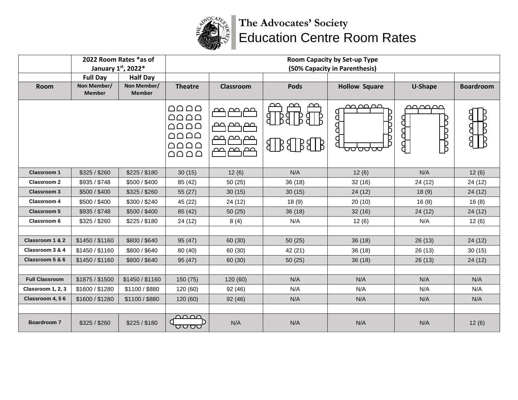

## **The Advocates' Society** Education Centre Room Rates

|                       | 2022 Room Rates *as of<br>January 1st, 2022* |                              | Room Capacity by Set-up Type<br>(50% Capacity in Parenthesis)                                                                                                                                                 |                                               |                                                        |                                         |                                     |                  |
|-----------------------|----------------------------------------------|------------------------------|---------------------------------------------------------------------------------------------------------------------------------------------------------------------------------------------------------------|-----------------------------------------------|--------------------------------------------------------|-----------------------------------------|-------------------------------------|------------------|
|                       | <b>Full Day</b>                              | <b>Half Day</b>              |                                                                                                                                                                                                               |                                               |                                                        |                                         |                                     |                  |
| Room                  | Non Member/<br><b>Member</b>                 | Non Member/<br><b>Member</b> | <b>Theatre</b>                                                                                                                                                                                                | Classroom                                     | <b>Pods</b>                                            | <b>Hollow Square</b>                    | U-Shape                             | <b>Boardroom</b> |
|                       |                                              |                              | $\bigcap \bigcap \bigcap \bigcap \bigcap$<br>$\bigcap \bigcap \bigcap \bigcap$<br>$\bigcap \bigcap \bigcap \bigcap \bigcap$<br>$\bigcap \bigcap \bigcap \bigcap$<br>$\bigcap \bigcap \bigcap \bigcap \bigcap$ | حص<br>عصصم.<br>മറ<br>ഥ<br>حص صص صص<br>بصصيصهم | മ<br><u>ഹ</u><br>ഛ<br>g<br>$8$ $B$ $8$ $B$ $B$ $B$ $B$ | <u>നവാലാ</u><br>B<br>B<br>Я<br>d<br>ᡂᡂᡂ | عصصصت<br>В<br>Đ<br>لمولمي<br>B<br>₿ |                  |
| <b>Classroom 1</b>    | \$325 / \$260                                | \$225 / \$180                | 30(15)                                                                                                                                                                                                        | 12(6)                                         | N/A                                                    | 12(6)                                   | N/A                                 | 12(6)            |
| <b>Classroom 2</b>    | \$935 / \$748                                | \$500 / \$400                | 85 (42)                                                                                                                                                                                                       | 50 (25)                                       | 36(18)                                                 | 32(16)                                  | 24 (12)                             | 24 (12)          |
| <b>Classroom 3</b>    | \$500 / \$400                                | \$325 / \$260                | 55 (27)                                                                                                                                                                                                       | 30(15)                                        | 30(15)                                                 | 24 (12)                                 | 18(9)                               | 24 (12)          |
| <b>Classroom 4</b>    | \$500 / \$400                                | \$300 / \$240                | 45 (22)                                                                                                                                                                                                       | 24 (12)                                       | 18(9)                                                  | 20(10)                                  | 16(8)                               | 16(8)            |
| <b>Classroom 5</b>    | \$935 / \$748                                | \$500 / \$400                | 85 (42)                                                                                                                                                                                                       | 50(25)                                        | 36(18)                                                 | 32(16)                                  | 24(12)                              | 24 (12)          |
| Classroom 6           | \$325 / \$260                                | \$225 / \$180                | 24 (12)                                                                                                                                                                                                       | 8(4)                                          | N/A                                                    | 12(6)                                   | N/A                                 | 12(6)            |
|                       |                                              |                              |                                                                                                                                                                                                               |                                               |                                                        |                                         |                                     |                  |
| Classroom 1 & 2       | \$1450 / \$1160                              | \$800/\$640                  | 95(47)                                                                                                                                                                                                        | 60 (30)                                       | 50(25)                                                 | 36(18)                                  | 26(13)                              | 24 (12)          |
| Classroom 3 & 4       | \$1450 / \$1160                              | \$800 / \$640                | 80 (40)                                                                                                                                                                                                       | 60 (30)                                       | 42 (21)                                                | 36 (18)                                 | 26(13)                              | 30(15)           |
| Classroom 5 & 6       | \$1450 / \$1160                              | \$800 / \$640                | 95 (47)                                                                                                                                                                                                       | 60 (30)                                       | 50(25)                                                 | 36(18)                                  | 26(13)                              | 24 (12)          |
|                       |                                              |                              |                                                                                                                                                                                                               |                                               |                                                        |                                         |                                     |                  |
| <b>Full Classroom</b> | \$1875 / \$1500                              | \$1450 / \$1160              | 150 (75)                                                                                                                                                                                                      | 120 (60)                                      | N/A                                                    | N/A                                     | N/A                                 | N/A              |
| Classroom 1, 2, 3     | \$1600 / \$1280                              | \$1100 / \$880               | 120 (60)                                                                                                                                                                                                      | 92 (46)                                       | N/A                                                    | N/A                                     | N/A                                 | N/A              |
| Classroom 4, 56       | \$1600 / \$1280                              | \$1100 / \$880               | 120(60)                                                                                                                                                                                                       | 92(46)                                        | N/A                                                    | N/A                                     | N/A                                 | N/A              |
|                       |                                              |                              |                                                                                                                                                                                                               |                                               |                                                        |                                         |                                     |                  |
| <b>Boardroom 7</b>    | \$325 / \$260                                | \$225 / \$180                | റററ<br>ᠣᠣᡂ                                                                                                                                                                                                    | N/A                                           | N/A                                                    | N/A                                     | N/A                                 | 12(6)            |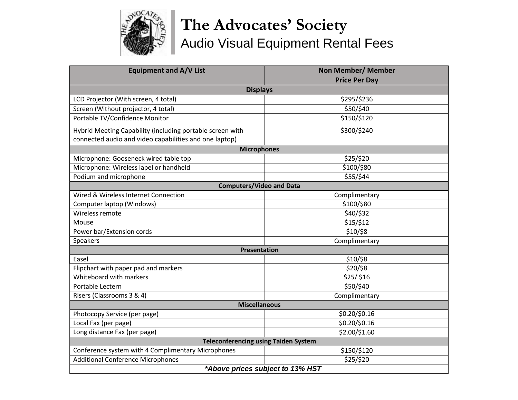

## **The Advocates' Society** Audio Visual Equipment Rental Fees

| <b>Equipment and A/V List</b>                             | <b>Non Member/ Member</b> |  |  |  |  |  |  |  |
|-----------------------------------------------------------|---------------------------|--|--|--|--|--|--|--|
|                                                           | <b>Price Per Day</b>      |  |  |  |  |  |  |  |
| <b>Displays</b>                                           |                           |  |  |  |  |  |  |  |
| LCD Projector (With screen, 4 total)                      | \$295/\$236               |  |  |  |  |  |  |  |
| Screen (Without projector, 4 total)                       | \$50/\$40                 |  |  |  |  |  |  |  |
| Portable TV/Confidence Monitor                            | \$150/\$120               |  |  |  |  |  |  |  |
| Hybrid Meeting Capability (including portable screen with | \$300/\$240               |  |  |  |  |  |  |  |
| connected audio and video capabilities and one laptop)    |                           |  |  |  |  |  |  |  |
| <b>Microphones</b>                                        |                           |  |  |  |  |  |  |  |
| Microphone: Gooseneck wired table top                     | \$25/\$20                 |  |  |  |  |  |  |  |
| Microphone: Wireless lapel or handheld                    | \$100/\$80                |  |  |  |  |  |  |  |
| Podium and microphone                                     | \$55/\$44                 |  |  |  |  |  |  |  |
| <b>Computers/Video and Data</b>                           |                           |  |  |  |  |  |  |  |
| Wired & Wireless Internet Connection                      | Complimentary             |  |  |  |  |  |  |  |
| Computer laptop (Windows)                                 | \$100/\$80                |  |  |  |  |  |  |  |
| Wireless remote                                           | \$40/\$32                 |  |  |  |  |  |  |  |
| Mouse                                                     | \$15/\$12                 |  |  |  |  |  |  |  |
| Power bar/Extension cords                                 | \$10/\$8                  |  |  |  |  |  |  |  |
| Speakers                                                  | Complimentary             |  |  |  |  |  |  |  |
| <b>Presentation</b>                                       |                           |  |  |  |  |  |  |  |
| Easel                                                     | \$10/\$8                  |  |  |  |  |  |  |  |
| Flipchart with paper pad and markers                      | \$20/\$8                  |  |  |  |  |  |  |  |
| Whiteboard with markers                                   | \$25/\$16                 |  |  |  |  |  |  |  |
| Portable Lectern                                          | \$50/\$40                 |  |  |  |  |  |  |  |
| Risers (Classrooms 3 & 4)                                 | Complimentary             |  |  |  |  |  |  |  |
| <b>Miscellaneous</b>                                      |                           |  |  |  |  |  |  |  |
| Photocopy Service (per page)                              | \$0.20/\$0.16             |  |  |  |  |  |  |  |
| Local Fax (per page)                                      | \$0.20/\$0.16             |  |  |  |  |  |  |  |
| Long distance Fax (per page)                              | \$2.00/\$1.60             |  |  |  |  |  |  |  |
| <b>Teleconferencing using Taiden System</b>               |                           |  |  |  |  |  |  |  |
| Conference system with 4 Complimentary Microphones        | \$150/\$120               |  |  |  |  |  |  |  |
| <b>Additional Conference Microphones</b>                  | \$25/\$20                 |  |  |  |  |  |  |  |
| *Above prices subject to 13% HST                          |                           |  |  |  |  |  |  |  |